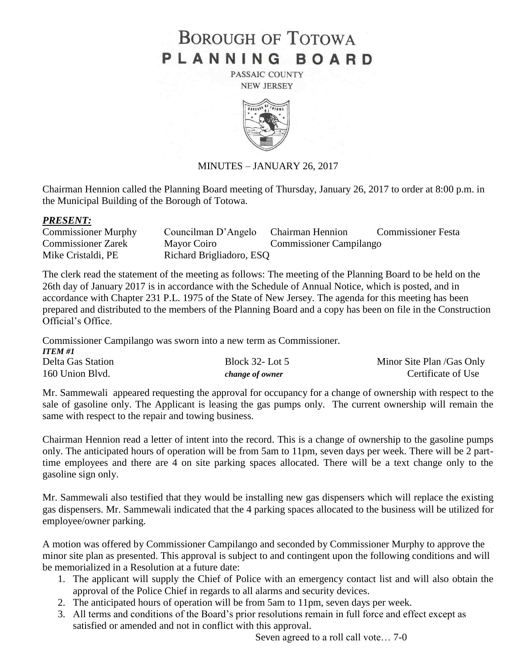# **BOROUGH OF TOTOWA** PLANNING BOARD

PASSAIC COUNTY **NEW JERSEY** 



# MINUTES – JANUARY 26, 2017

Chairman Hennion called the Planning Board meeting of Thursday, January 26, 2017 to order at 8:00 p.m. in the Municipal Building of the Borough of Totowa.

#### *PRESENT:*

| <b>Commissioner Murphy</b> | Councilman D'Angelo Chairman Hennion |                                | <b>Commissioner Festa</b> |
|----------------------------|--------------------------------------|--------------------------------|---------------------------|
| <b>Commissioner Zarek</b>  | Mayor Coiro                          | <b>Commissioner Campilango</b> |                           |
| Mike Cristaldi, PE         | Richard Brigliadoro, ESQ             |                                |                           |

The clerk read the statement of the meeting as follows: The meeting of the Planning Board to be held on the 26th day of January 2017 is in accordance with the Schedule of Annual Notice, which is posted, and in accordance with Chapter 231 P.L. 1975 of the State of New Jersey. The agenda for this meeting has been prepared and distributed to the members of the Planning Board and a copy has been on file in the Construction Official's Office.

Commissioner Campilango was sworn into a new term as Commissioner.

| <b>ITEM #1</b>    |                        |                           |
|-------------------|------------------------|---------------------------|
| Delta Gas Station | Block $32 -$ Lot $5$   | Minor Site Plan /Gas Only |
| 160 Union Blvd.   | <i>change of owner</i> | Certificate of Use        |

Mr. Sammewali appeared requesting the approval for occupancy for a change of ownership with respect to the sale of gasoline only. The Applicant is leasing the gas pumps only. The current ownership will remain the same with respect to the repair and towing business.

Chairman Hennion read a letter of intent into the record. This is a change of ownership to the gasoline pumps only. The anticipated hours of operation will be from 5am to 11pm, seven days per week. There will be 2 parttime employees and there are 4 on site parking spaces allocated. There will be a text change only to the gasoline sign only.

Mr. Sammewali also testified that they would be installing new gas dispensers which will replace the existing gas dispensers. Mr. Sammewali indicated that the 4 parking spaces allocated to the business will be utilized for employee/owner parking.

A motion was offered by Commissioner Campilango and seconded by Commissioner Murphy to approve the minor site plan as presented. This approval is subject to and contingent upon the following conditions and will be memorialized in a Resolution at a future date:

- 1. The applicant will supply the Chief of Police with an emergency contact list and will also obtain the approval of the Police Chief in regards to all alarms and security devices.
- 2. The anticipated hours of operation will be from 5am to 11pm, seven days per week.
- 3. All terms and conditions of the Board's prior resolutions remain in full force and effect except as satisfied or amended and not in conflict with this approval.

Seven agreed to a roll call vote… 7-0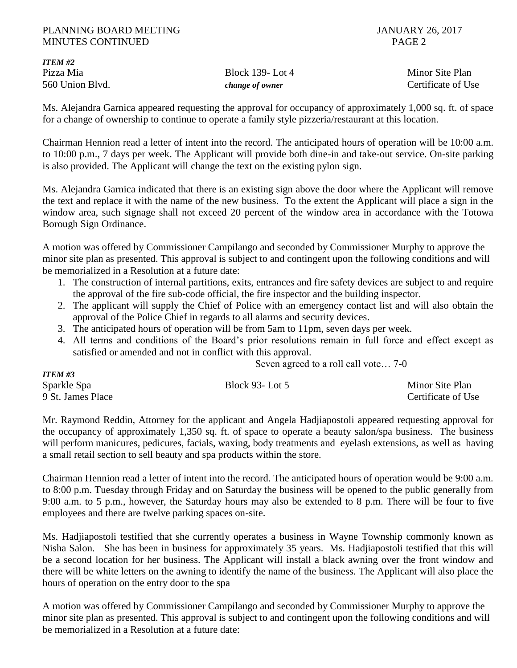*ITEM #2*

*ITEM #3*

Pizza Mia alian-kwa kutoka 139- Lot 4 Minor Site Plan 560 Union Blvd. *change of owner* Certificate of Use

Ms. Alejandra Garnica appeared requesting the approval for occupancy of approximately 1,000 sq. ft. of space for a change of ownership to continue to operate a family style pizzeria/restaurant at this location.

Chairman Hennion read a letter of intent into the record. The anticipated hours of operation will be 10:00 a.m. to 10:00 p.m., 7 days per week. The Applicant will provide both dine-in and take-out service. On-site parking is also provided. The Applicant will change the text on the existing pylon sign.

Ms. Alejandra Garnica indicated that there is an existing sign above the door where the Applicant will remove the text and replace it with the name of the new business. To the extent the Applicant will place a sign in the window area, such signage shall not exceed 20 percent of the window area in accordance with the Totowa Borough Sign Ordinance.

A motion was offered by Commissioner Campilango and seconded by Commissioner Murphy to approve the minor site plan as presented. This approval is subject to and contingent upon the following conditions and will be memorialized in a Resolution at a future date:

- 1. The construction of internal partitions, exits, entrances and fire safety devices are subject to and require the approval of the fire sub-code official, the fire inspector and the building inspector.
- 2. The applicant will supply the Chief of Police with an emergency contact list and will also obtain the approval of the Police Chief in regards to all alarms and security devices.
- 3. The anticipated hours of operation will be from 5am to 11pm, seven days per week.
- 4. All terms and conditions of the Board's prior resolutions remain in full force and effect except as satisfied or amended and not in conflict with this approval.

Seven agreed to a roll call vote… 7-0

| 11 LW TJ          |                       |                    |
|-------------------|-----------------------|--------------------|
| Sparkle Spa       | <b>Block 93-Lot 5</b> | Minor Site Plan    |
| 9 St. James Place |                       | Certificate of Use |

Mr. Raymond Reddin, Attorney for the applicant and Angela Hadjiapostoli appeared requesting approval for the occupancy of approximately 1,350 sq. ft. of space to operate a beauty salon/spa business. The business will perform manicures, pedicures, facials, waxing, body treatments and eyelash extensions, as well as having a small retail section to sell beauty and spa products within the store.

Chairman Hennion read a letter of intent into the record. The anticipated hours of operation would be 9:00 a.m. to 8:00 p.m. Tuesday through Friday and on Saturday the business will be opened to the public generally from 9:00 a.m. to 5 p.m., however, the Saturday hours may also be extended to 8 p.m. There will be four to five employees and there are twelve parking spaces on-site.

Ms. Hadjiapostoli testified that she currently operates a business in Wayne Township commonly known as Nisha Salon. She has been in business for approximately 35 years. Ms. Hadjiapostoli testified that this will be a second location for her business. The Applicant will install a black awning over the front window and there will be white letters on the awning to identify the name of the business. The Applicant will also place the hours of operation on the entry door to the spa

A motion was offered by Commissioner Campilango and seconded by Commissioner Murphy to approve the minor site plan as presented. This approval is subject to and contingent upon the following conditions and will be memorialized in a Resolution at a future date: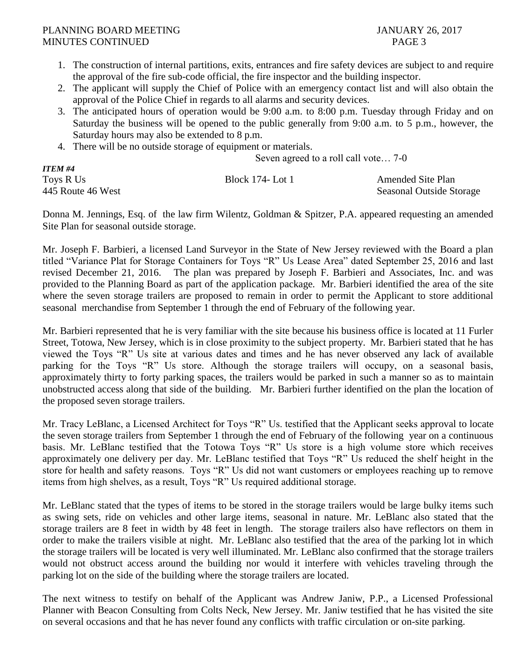- 1. The construction of internal partitions, exits, entrances and fire safety devices are subject to and require the approval of the fire sub-code official, the fire inspector and the building inspector.
- 2. The applicant will supply the Chief of Police with an emergency contact list and will also obtain the approval of the Police Chief in regards to all alarms and security devices.
- 3. The anticipated hours of operation would be 9:00 a.m. to 8:00 p.m. Tuesday through Friday and on Saturday the business will be opened to the public generally from 9:00 a.m. to 5 p.m., however, the Saturday hours may also be extended to 8 p.m.
- 4. There will be no outside storage of equipment or materials.

Seven agreed to a roll call vote… 7-0

| <b>ITEM #4</b>    |                  |                          |
|-------------------|------------------|--------------------------|
| Toys R Us         | Block 174- Lot 1 | <b>Amended Site Plan</b> |
| 445 Route 46 West |                  | Seasonal Outside Storage |

Donna M. Jennings, Esq. of the law firm Wilentz, Goldman & Spitzer, P.A. appeared requesting an amended Site Plan for seasonal outside storage.

Mr. Joseph F. Barbieri, a licensed Land Surveyor in the State of New Jersey reviewed with the Board a plan titled "Variance Plat for Storage Containers for Toys "R" Us Lease Area" dated September 25, 2016 and last revised December 21, 2016. The plan was prepared by Joseph F. Barbieri and Associates, Inc. and was provided to the Planning Board as part of the application package. Mr. Barbieri identified the area of the site where the seven storage trailers are proposed to remain in order to permit the Applicant to store additional seasonal merchandise from September 1 through the end of February of the following year.

Mr. Barbieri represented that he is very familiar with the site because his business office is located at 11 Furler Street, Totowa, New Jersey, which is in close proximity to the subject property. Mr. Barbieri stated that he has viewed the Toys "R" Us site at various dates and times and he has never observed any lack of available parking for the Toys "R" Us store. Although the storage trailers will occupy, on a seasonal basis, approximately thirty to forty parking spaces, the trailers would be parked in such a manner so as to maintain unobstructed access along that side of the building. Mr. Barbieri further identified on the plan the location of the proposed seven storage trailers.

Mr. Tracy LeBlanc, a Licensed Architect for Toys "R" Us. testified that the Applicant seeks approval to locate the seven storage trailers from September 1 through the end of February of the following year on a continuous basis. Mr. LeBlanc testified that the Totowa Toys "R" Us store is a high volume store which receives approximately one delivery per day. Mr. LeBlanc testified that Toys "R" Us reduced the shelf height in the store for health and safety reasons. Toys "R" Us did not want customers or employees reaching up to remove items from high shelves, as a result, Toys "R" Us required additional storage.

Mr. LeBlanc stated that the types of items to be stored in the storage trailers would be large bulky items such as swing sets, ride on vehicles and other large items, seasonal in nature. Mr. LeBlanc also stated that the storage trailers are 8 feet in width by 48 feet in length. The storage trailers also have reflectors on them in order to make the trailers visible at night. Mr. LeBlanc also testified that the area of the parking lot in which the storage trailers will be located is very well illuminated. Mr. LeBlanc also confirmed that the storage trailers would not obstruct access around the building nor would it interfere with vehicles traveling through the parking lot on the side of the building where the storage trailers are located.

The next witness to testify on behalf of the Applicant was Andrew Janiw, P.P., a Licensed Professional Planner with Beacon Consulting from Colts Neck, New Jersey. Mr. Janiw testified that he has visited the site on several occasions and that he has never found any conflicts with traffic circulation or on-site parking.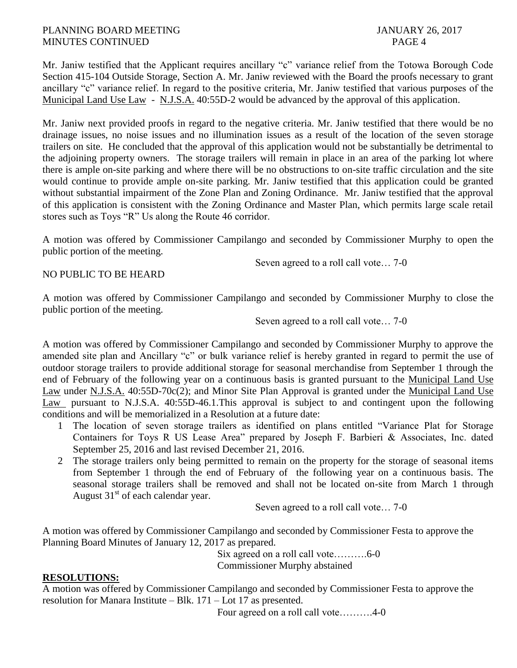Mr. Janiw testified that the Applicant requires ancillary "c" variance relief from the Totowa Borough Code Section 415-104 Outside Storage, Section A. Mr. Janiw reviewed with the Board the proofs necessary to grant ancillary "c" variance relief. In regard to the positive criteria, Mr. Janiw testified that various purposes of the Municipal Land Use Law - N.J.S.A. 40:55D-2 would be advanced by the approval of this application.

Mr. Janiw next provided proofs in regard to the negative criteria. Mr. Janiw testified that there would be no drainage issues, no noise issues and no illumination issues as a result of the location of the seven storage trailers on site. He concluded that the approval of this application would not be substantially be detrimental to the adjoining property owners. The storage trailers will remain in place in an area of the parking lot where there is ample on-site parking and where there will be no obstructions to on-site traffic circulation and the site would continue to provide ample on-site parking. Mr. Janiw testified that this application could be granted without substantial impairment of the Zone Plan and Zoning Ordinance. Mr. Janiw testified that the approval of this application is consistent with the Zoning Ordinance and Master Plan, which permits large scale retail stores such as Toys "R" Us along the Route 46 corridor.

A motion was offered by Commissioner Campilango and seconded by Commissioner Murphy to open the public portion of the meeting.

Seven agreed to a roll call vote… 7-0

NO PUBLIC TO BE HEARD

A motion was offered by Commissioner Campilango and seconded by Commissioner Murphy to close the public portion of the meeting.

Seven agreed to a roll call vote… 7-0

A motion was offered by Commissioner Campilango and seconded by Commissioner Murphy to approve the amended site plan and Ancillary "c" or bulk variance relief is hereby granted in regard to permit the use of outdoor storage trailers to provide additional storage for seasonal merchandise from September 1 through the end of February of the following year on a continuous basis is granted pursuant to the Municipal Land Use Law under N.J.S.A. 40:55D-70c(2); and Minor Site Plan Approval is granted under the Municipal Land Use Law pursuant to N.J.S.A. 40:55D-46.1.This approval is subject to and contingent upon the following conditions and will be memorialized in a Resolution at a future date:

- 1 The location of seven storage trailers as identified on plans entitled "Variance Plat for Storage Containers for Toys R US Lease Area" prepared by Joseph F. Barbieri & Associates, Inc. dated September 25, 2016 and last revised December 21, 2016.
- 2 The storage trailers only being permitted to remain on the property for the storage of seasonal items from September 1 through the end of February of the following year on a continuous basis. The seasonal storage trailers shall be removed and shall not be located on-site from March 1 through August  $31<sup>st</sup>$  of each calendar year.

Seven agreed to a roll call vote… 7-0

A motion was offered by Commissioner Campilango and seconded by Commissioner Festa to approve the Planning Board Minutes of January 12, 2017 as prepared.

Six agreed on a roll call vote……….6-0 Commissioner Murphy abstained

# **RESOLUTIONS:**

A motion was offered by Commissioner Campilango and seconded by Commissioner Festa to approve the resolution for Manara Institute – Blk. 171 – Lot 17 as presented.

Four agreed on a roll call vote……….4-0